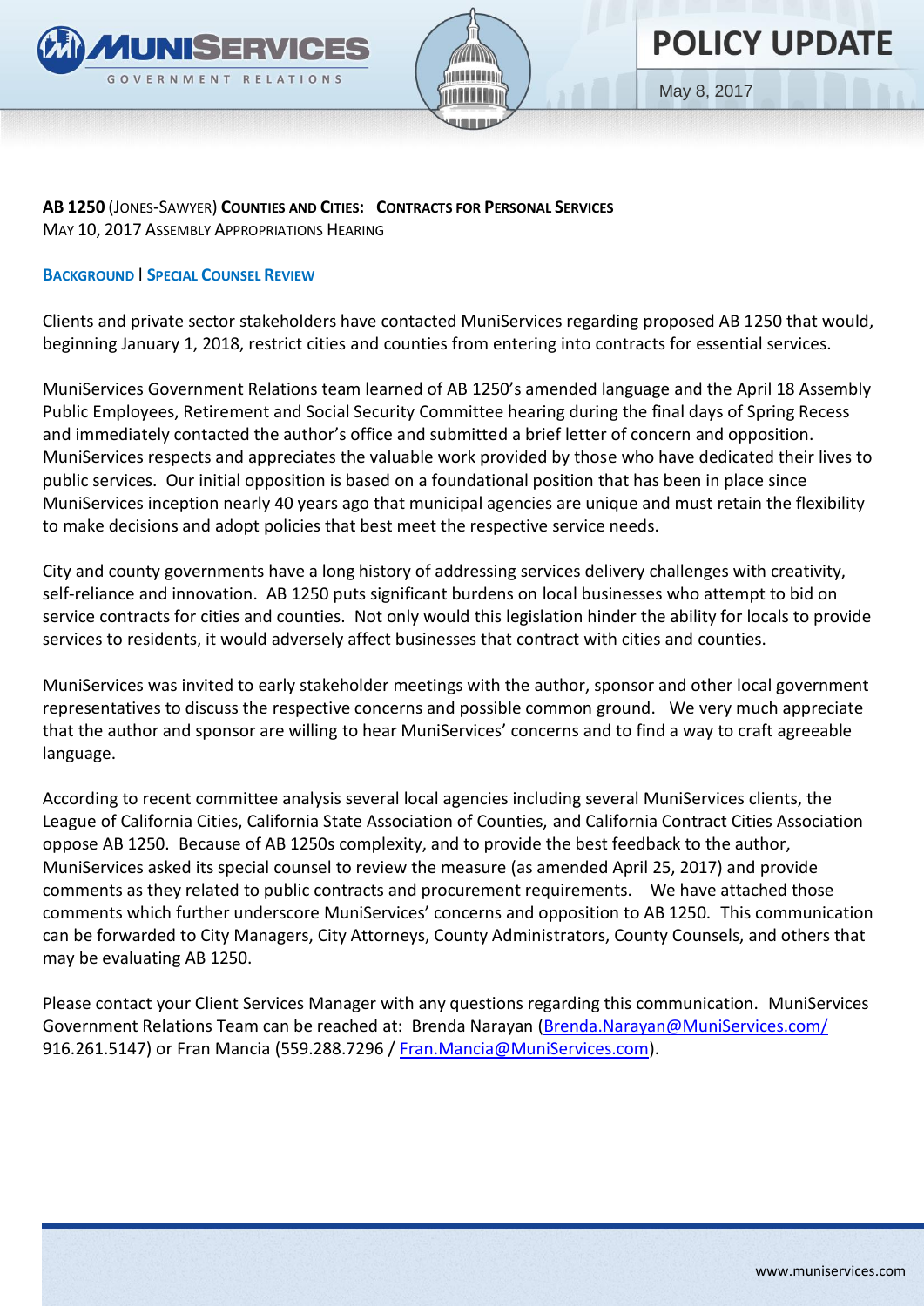



# **POLICY UPDATE**

May 8, 2017

## **AB 1250** (JONES-SAWYER) **COUNTIES AND CITIES: CONTRACTS FOR PERSONAL SERVICES**

MAY 10, 2017 ASSEMBLY APPROPRIATIONS HEARING

### **BACKGROUND** l **SPECIAL COUNSEL REVIEW**

Clients and private sector stakeholders have contacted MuniServices regarding proposed AB 1250 that would, beginning January 1, 2018, restrict cities and counties from entering into contracts for essential services.

MuniServices Government Relations team learned of AB 1250's amended language and the April 18 Assembly Public Employees, Retirement and Social Security Committee hearing during the final days of Spring Recess and immediately contacted the author's office and submitted a brief letter of concern and opposition. MuniServices respects and appreciates the valuable work provided by those who have dedicated their lives to public services. Our initial opposition is based on a foundational position that has been in place since MuniServices inception nearly 40 years ago that municipal agencies are unique and must retain the flexibility to make decisions and adopt policies that best meet the respective service needs.

City and county governments have a long history of addressing services delivery challenges with creativity, self-reliance and innovation. AB 1250 puts significant burdens on local businesses who attempt to bid on service contracts for cities and counties. Not only would this legislation hinder the ability for locals to provide services to residents, it would adversely affect businesses that contract with cities and counties.

MuniServices was invited to early stakeholder meetings with the author, sponsor and other local government representatives to discuss the respective concerns and possible common ground. We very much appreciate that the author and sponsor are willing to hear MuniServices' concerns and to find a way to craft agreeable language.

According to recent committee analysis several local agencies including several MuniServices clients, the League of California Cities, California State Association of Counties, and California Contract Cities Association oppose AB 1250. Because of AB 1250s complexity, and to provide the best feedback to the author, MuniServices asked its special counsel to review the measure (as amended April 25, 2017) and provide comments as they related to public contracts and procurement requirements. We have attached those comments which further underscore MuniServices' concerns and opposition to AB 1250. This communication can be forwarded to City Managers, City Attorneys, County Administrators, County Counsels, and others that may be evaluating AB 1250.

Please contact your Client Services Manager with any questions regarding this communication. MuniServices Government Relations Team can be reached at: Brenda Narayan (Brenda.Narayan@MuniServices.com/ 916.261.5147) or Fran Mancia (559.288.7296 [/ Fran.Mancia@MuniServices.com](mailto:Fran.Mancia@MuniServices.com/)).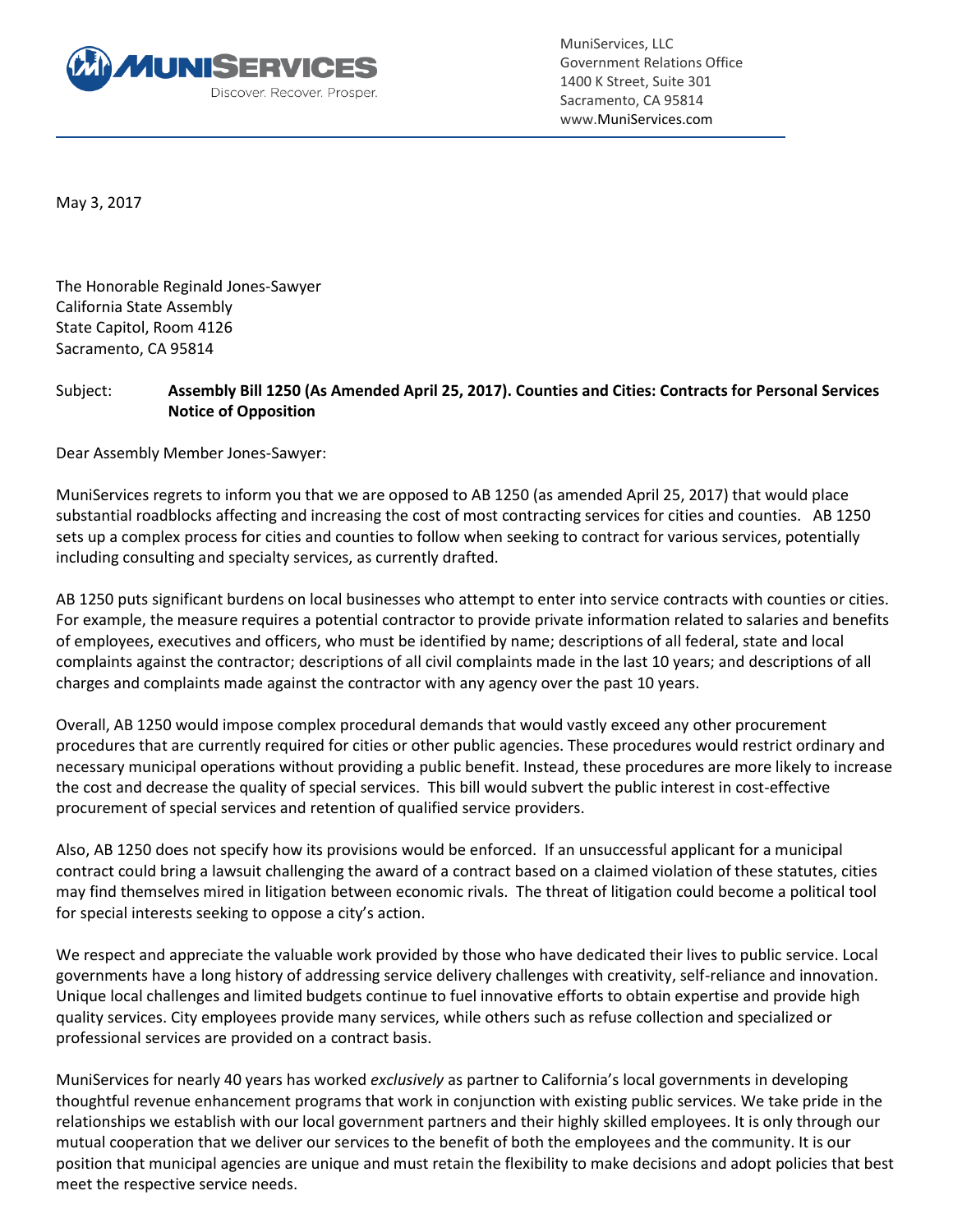

MuniServices, LLC Government Relations Office 1400 K Street, Suite 301 Sacramento, CA 95814 www.MuniServices.com

May 3, 2017

The Honorable Reginald Jones-Sawyer California State Assembly State Capitol, Room 4126 Sacramento, CA 95814

### Subject: **Assembly Bill 1250 (As Amended April 25, 2017). Counties and Cities: Contracts for Personal Services Notice of Opposition**

Dear Assembly Member Jones-Sawyer:

MuniServices regrets to inform you that we are opposed to AB 1250 (as amended April 25, 2017) that would place substantial roadblocks affecting and increasing the cost of most contracting services for cities and counties. AB 1250 sets up a complex process for cities and counties to follow when seeking to contract for various services, potentially including consulting and specialty services, as currently drafted.

AB 1250 puts significant burdens on local businesses who attempt to enter into service contracts with counties or cities. For example, the measure requires a potential contractor to provide private information related to salaries and benefits of employees, executives and officers, who must be identified by name; descriptions of all federal, state and local complaints against the contractor; descriptions of all civil complaints made in the last 10 years; and descriptions of all charges and complaints made against the contractor with any agency over the past 10 years.

Overall, AB 1250 would impose complex procedural demands that would vastly exceed any other procurement procedures that are currently required for cities or other public agencies. These procedures would restrict ordinary and necessary municipal operations without providing a public benefit. Instead, these procedures are more likely to increase the cost and decrease the quality of special services. This bill would subvert the public interest in cost-effective procurement of special services and retention of qualified service providers.

Also, AB 1250 does not specify how its provisions would be enforced. If an unsuccessful applicant for a municipal contract could bring a lawsuit challenging the award of a contract based on a claimed violation of these statutes, cities may find themselves mired in litigation between economic rivals. The threat of litigation could become a political tool for special interests seeking to oppose a city's action.

We respect and appreciate the valuable work provided by those who have dedicated their lives to public service. Local governments have a long history of addressing service delivery challenges with creativity, self-reliance and innovation. Unique local challenges and limited budgets continue to fuel innovative efforts to obtain expertise and provide high quality services. City employees provide many services, while others such as refuse collection and specialized or professional services are provided on a contract basis.

MuniServices for nearly 40 years has worked *exclusively* as partner to California's local governments in developing thoughtful revenue enhancement programs that work in conjunction with existing public services. We take pride in the relationships we establish with our local government partners and their highly skilled employees. It is only through our mutual cooperation that we deliver our services to the benefit of both the employees and the community. It is our position that municipal agencies are unique and must retain the flexibility to make decisions and adopt policies that best meet the respective service needs.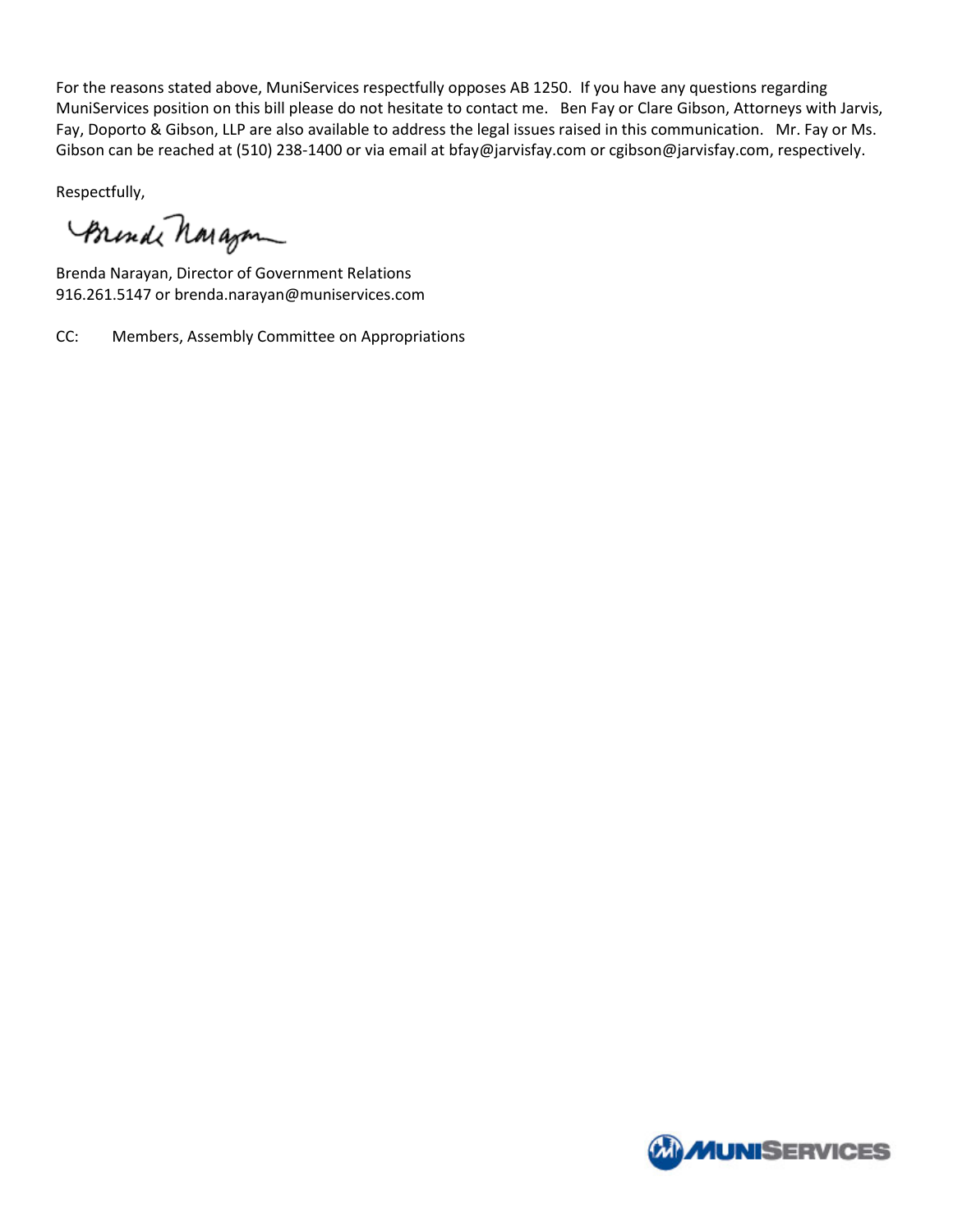For the reasons stated above, MuniServices respectfully opposes AB 1250. If you have any questions regarding MuniServices position on this bill please do not hesitate to contact me. Ben Fay or Clare Gibson, Attorneys with Jarvis, Fay, Doporto & Gibson, LLP are also available to address the legal issues raised in this communication. Mr. Fay or Ms. Gibson can be reached at (510) 238-1400 or via email at [bfay@jarvisfay.com](mailto:bfay@jarvisfay.com) o[r cgibson@jarvisfay.com,](mailto:cgibson@jarvisfay.com) respectively.

Respectfully,

Aninde nonagon

Brenda Narayan, Director of Government Relations 916.261.5147 or [brenda.narayan@muniservices.com](mailto:brenda.narayan@muniservices.com)

CC: Members, Assembly Committee on Appropriations

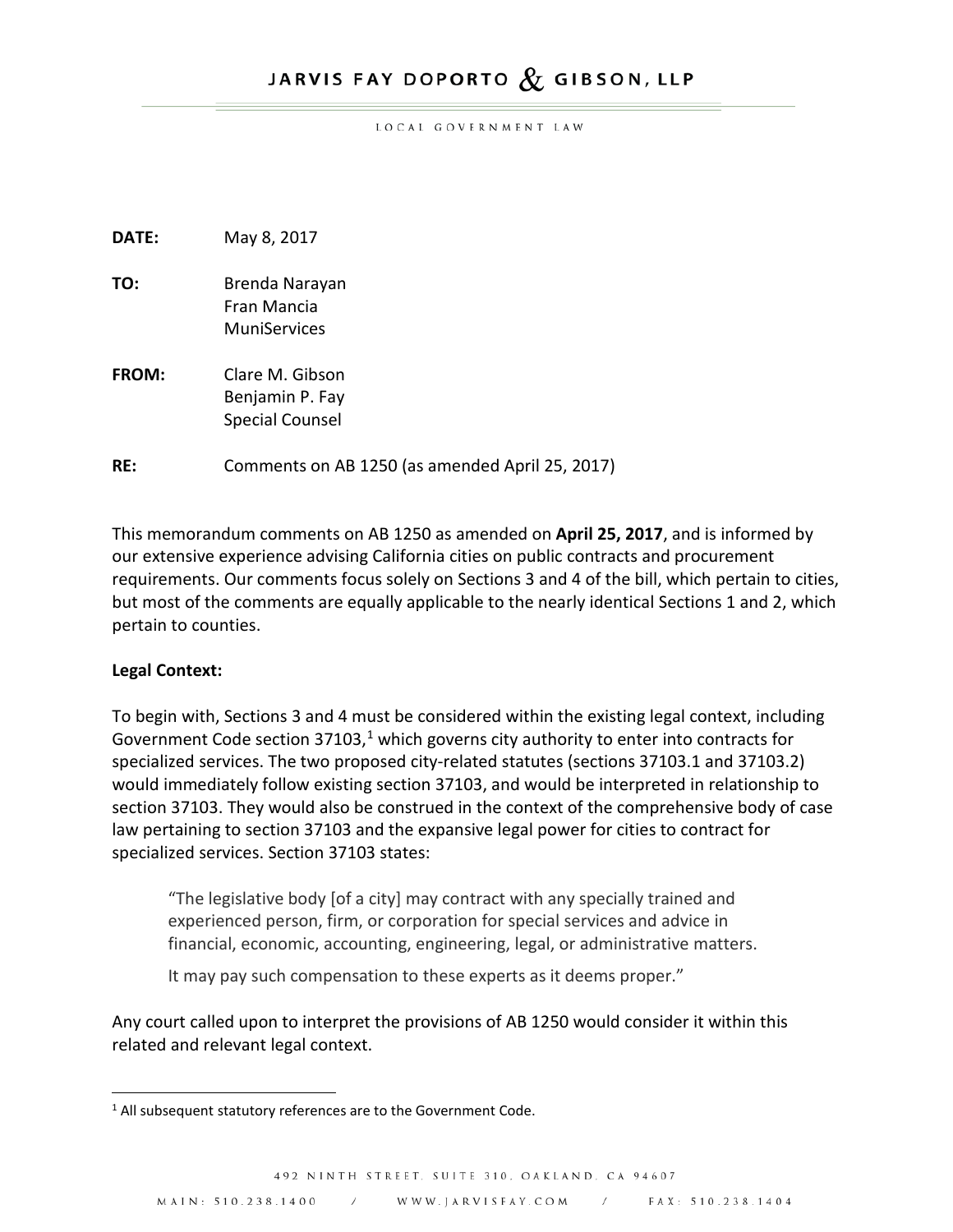# JARVIS FAY DOPORTO  $\&$  GIBSON, LLP

LOCAL GOVERNMENT LAW

**DATE:** May 8, 2017

**TO:** Brenda Narayan Fran Mancia **MuniServices** 

**FROM:** Clare M. Gibson Benjamin P. Fay Special Counsel

**RE:** Comments on AB 1250 (as amended April 25, 2017)

This memorandum comments on AB 1250 as amended on **April 25, 2017**, and is informed by our extensive experience advising California cities on public contracts and procurement requirements. Our comments focus solely on Sections 3 and 4 of the bill, which pertain to cities, but most of the comments are equally applicable to the nearly identical Sections 1 and 2, which pertain to counties.

#### **Legal Context:**

To begin with, Sections 3 and 4 must be considered within the existing legal context, including Government Code section  $37103$  $37103$  $37103$ ,<sup>1</sup> which governs city authority to enter into contracts for specialized services. The two proposed city-related statutes (sections 37103.1 and 37103.2) would immediately follow existing section 37103, and would be interpreted in relationship to section 37103. They would also be construed in the context of the comprehensive body of case law pertaining to section 37103 and the expansive legal power for cities to contract for specialized services. Section 37103 states:

"The legislative body [of a city] may contract with any specially trained and experienced person, firm, or corporation for special services and advice in financial, economic, accounting, engineering, legal, or administrative matters.

It may pay such compensation to these experts as it deems proper."

Any court called upon to interpret the provisions of AB 1250 would consider it within this related and relevant legal context.

<span id="page-3-0"></span> $1$  All subsequent statutory references are to the Government Code.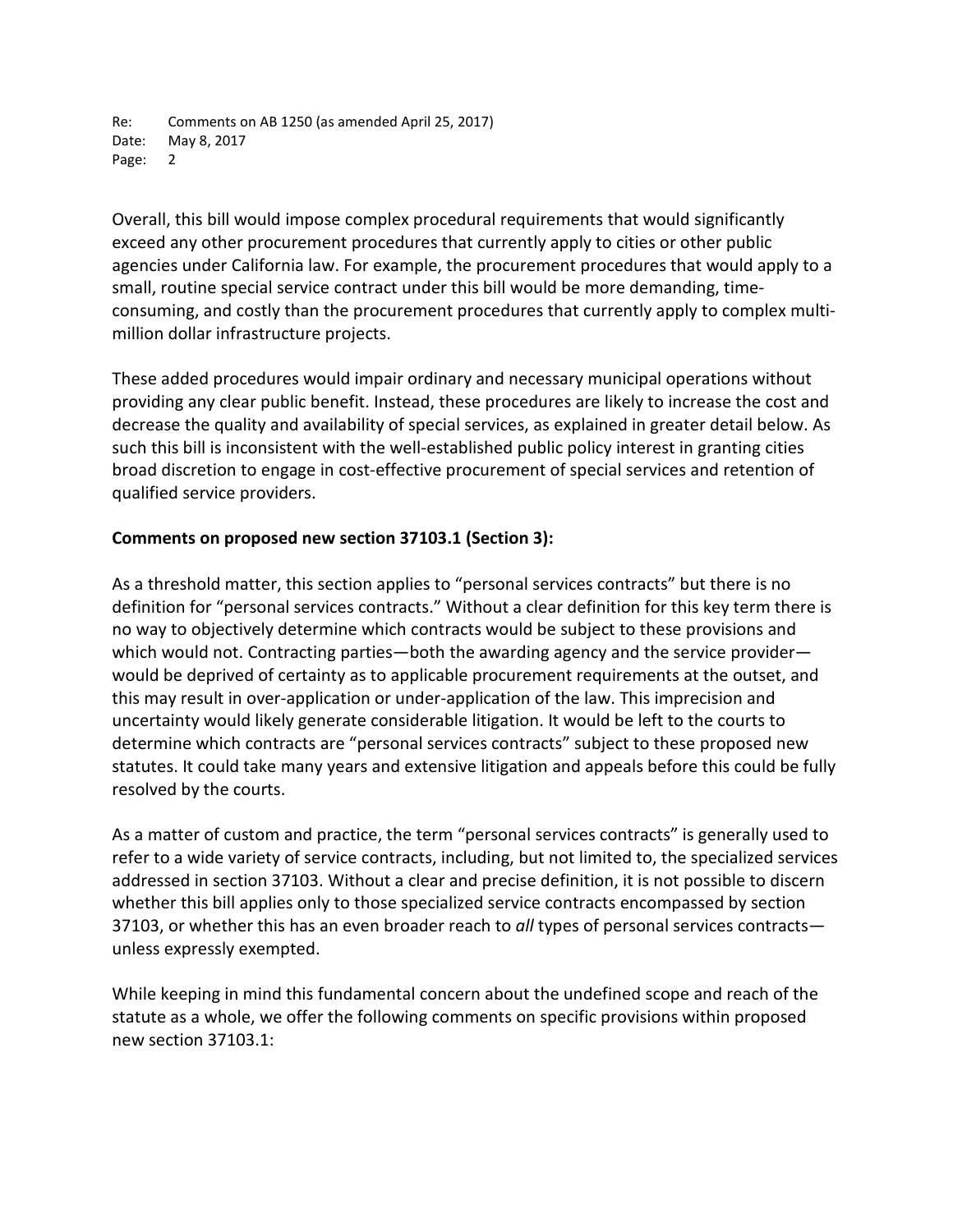Overall, this bill would impose complex procedural requirements that would significantly exceed any other procurement procedures that currently apply to cities or other public agencies under California law. For example, the procurement procedures that would apply to a small, routine special service contract under this bill would be more demanding, timeconsuming, and costly than the procurement procedures that currently apply to complex multimillion dollar infrastructure projects.

These added procedures would impair ordinary and necessary municipal operations without providing any clear public benefit. Instead, these procedures are likely to increase the cost and decrease the quality and availability of special services, as explained in greater detail below. As such this bill is inconsistent with the well-established public policy interest in granting cities broad discretion to engage in cost-effective procurement of special services and retention of qualified service providers.

### **Comments on proposed new section 37103.1 (Section 3):**

As a threshold matter, this section applies to "personal services contracts" but there is no definition for "personal services contracts." Without a clear definition for this key term there is no way to objectively determine which contracts would be subject to these provisions and which would not. Contracting parties—both the awarding agency and the service provider would be deprived of certainty as to applicable procurement requirements at the outset, and this may result in over-application or under-application of the law. This imprecision and uncertainty would likely generate considerable litigation. It would be left to the courts to determine which contracts are "personal services contracts" subject to these proposed new statutes. It could take many years and extensive litigation and appeals before this could be fully resolved by the courts.

As a matter of custom and practice, the term "personal services contracts" is generally used to refer to a wide variety of service contracts, including, but not limited to, the specialized services addressed in section 37103. Without a clear and precise definition, it is not possible to discern whether this bill applies only to those specialized service contracts encompassed by section 37103, or whether this has an even broader reach to *all* types of personal services contracts unless expressly exempted.

While keeping in mind this fundamental concern about the undefined scope and reach of the statute as a whole, we offer the following comments on specific provisions within proposed new section 37103.1: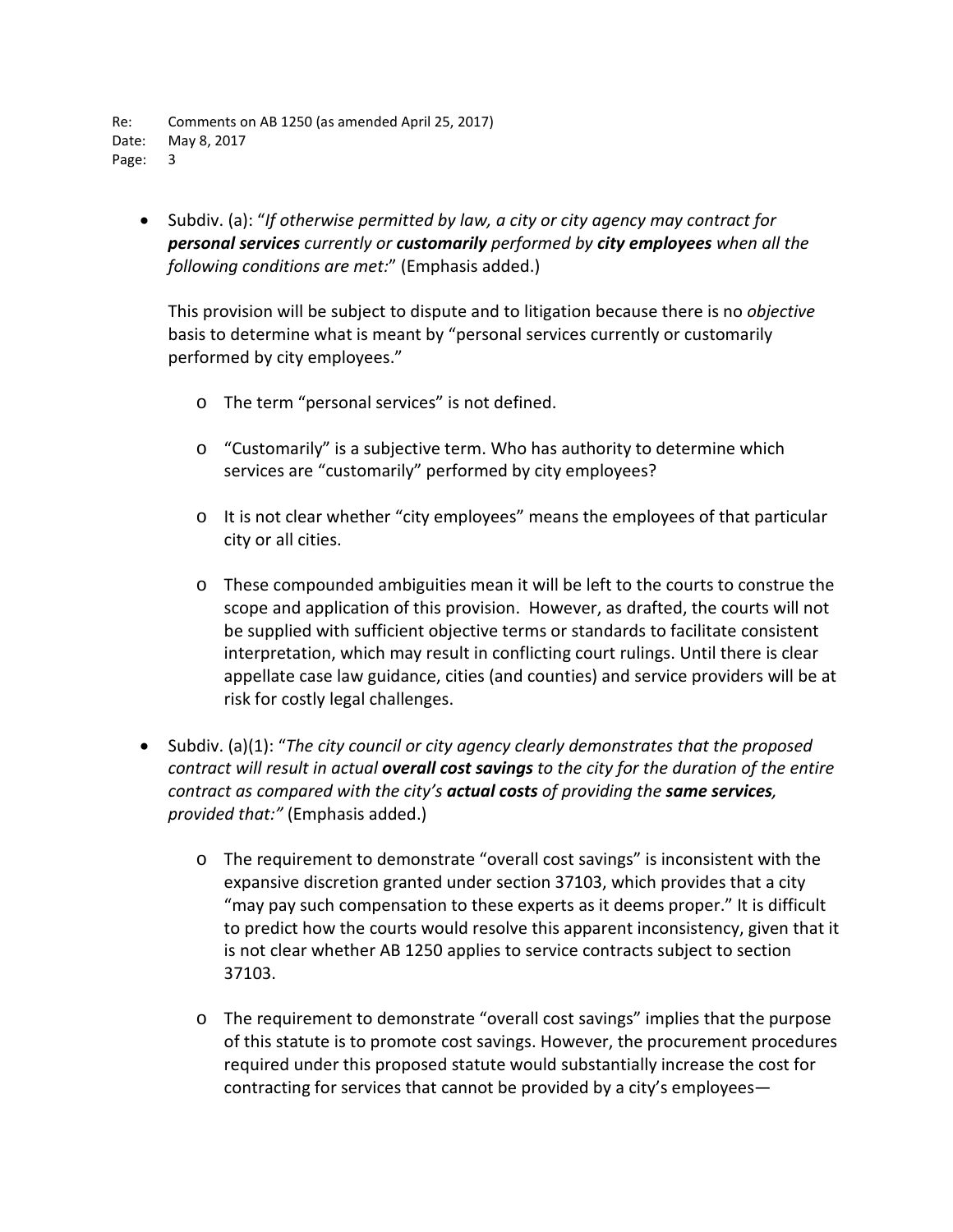• Subdiv. (a): "*If otherwise permitted by law, a city or city agency may contract for personal services currently or customarily performed by city employees when all the following conditions are met:*" (Emphasis added.)

This provision will be subject to dispute and to litigation because there is no *objective*  basis to determine what is meant by "personal services currently or customarily performed by city employees."

- o The term "personal services" is not defined.
- o "Customarily" is a subjective term. Who has authority to determine which services are "customarily" performed by city employees?
- o It is not clear whether "city employees" means the employees of that particular city or all cities.
- o These compounded ambiguities mean it will be left to the courts to construe the scope and application of this provision. However, as drafted, the courts will not be supplied with sufficient objective terms or standards to facilitate consistent interpretation, which may result in conflicting court rulings. Until there is clear appellate case law guidance, cities (and counties) and service providers will be at risk for costly legal challenges.
- Subdiv. (a)(1): "*The city council or city agency clearly demonstrates that the proposed contract will result in actual overall cost savings to the city for the duration of the entire contract as compared with the city's actual costs of providing the same services, provided that:"* (Emphasis added.)
	- o The requirement to demonstrate "overall cost savings" is inconsistent with the expansive discretion granted under section 37103, which provides that a city "may pay such compensation to these experts as it deems proper." It is difficult to predict how the courts would resolve this apparent inconsistency, given that it is not clear whether AB 1250 applies to service contracts subject to section 37103.
	- o The requirement to demonstrate "overall cost savings" implies that the purpose of this statute is to promote cost savings. However, the procurement procedures required under this proposed statute would substantially increase the cost for contracting for services that cannot be provided by a city's employees—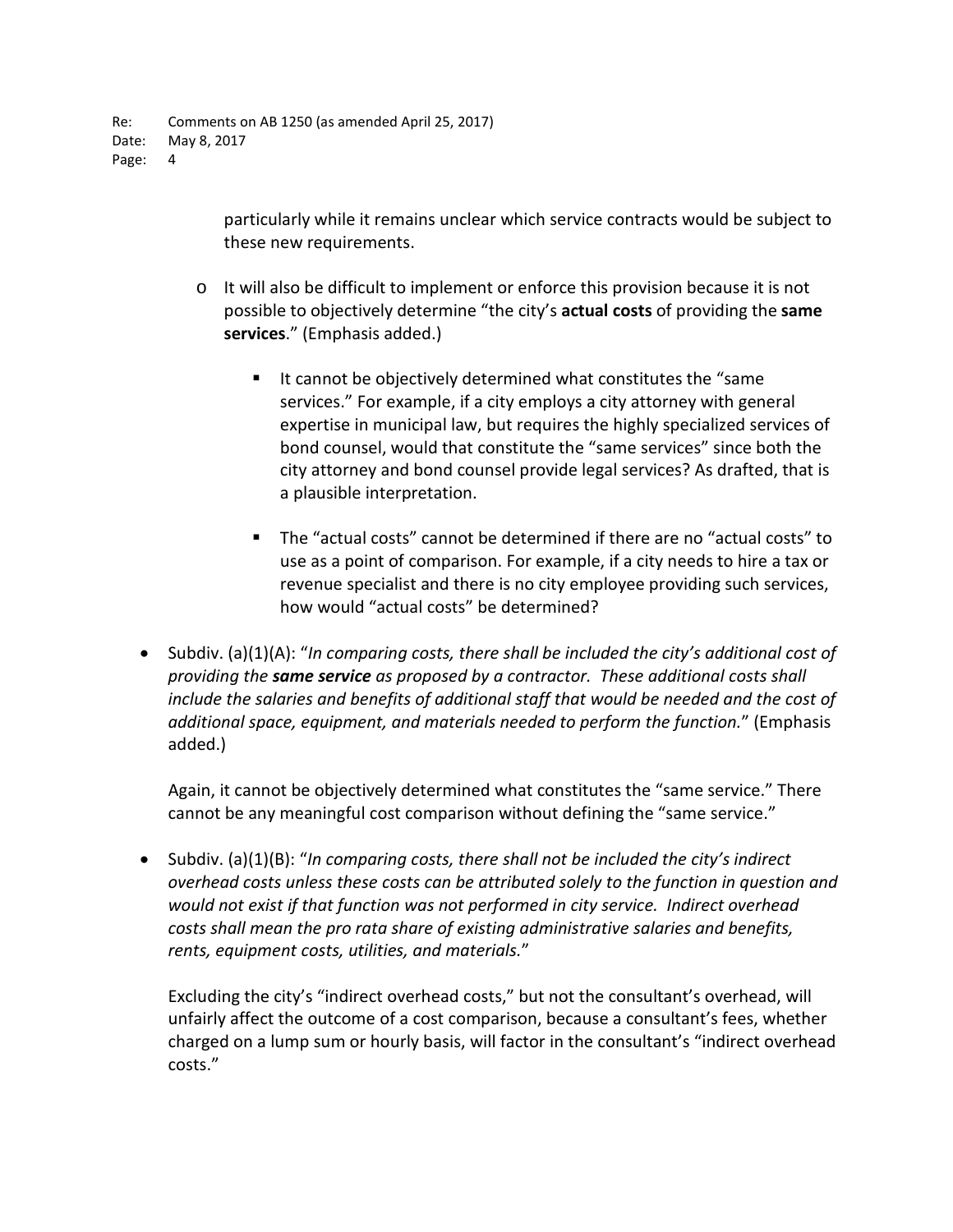particularly while it remains unclear which service contracts would be subject to these new requirements.

- $\circ$  It will also be difficult to implement or enforce this provision because it is not possible to objectively determine "the city's **actual costs** of providing the **same services**." (Emphasis added.)
	- It cannot be objectively determined what constitutes the "same services." For example, if a city employs a city attorney with general expertise in municipal law, but requires the highly specialized services of bond counsel, would that constitute the "same services" since both the city attorney and bond counsel provide legal services? As drafted, that is a plausible interpretation.
	- The "actual costs" cannot be determined if there are no "actual costs" to use as a point of comparison. For example, if a city needs to hire a tax or revenue specialist and there is no city employee providing such services, how would "actual costs" be determined?
- Subdiv. (a)(1)(A): "*In comparing costs, there shall be included the city's additional cost of providing the same service as proposed by a contractor. These additional costs shall include the salaries and benefits of additional staff that would be needed and the cost of additional space, equipment, and materials needed to perform the function.*" (Emphasis added.)

Again, it cannot be objectively determined what constitutes the "same service." There cannot be any meaningful cost comparison without defining the "same service."

• Subdiv. (a)(1)(B): "*In comparing costs, there shall not be included the city's indirect overhead costs unless these costs can be attributed solely to the function in question and would not exist if that function was not performed in city service. Indirect overhead costs shall mean the pro rata share of existing administrative salaries and benefits, rents, equipment costs, utilities, and materials.*"

Excluding the city's "indirect overhead costs," but not the consultant's overhead, will unfairly affect the outcome of a cost comparison, because a consultant's fees, whether charged on a lump sum or hourly basis, will factor in the consultant's "indirect overhead costs."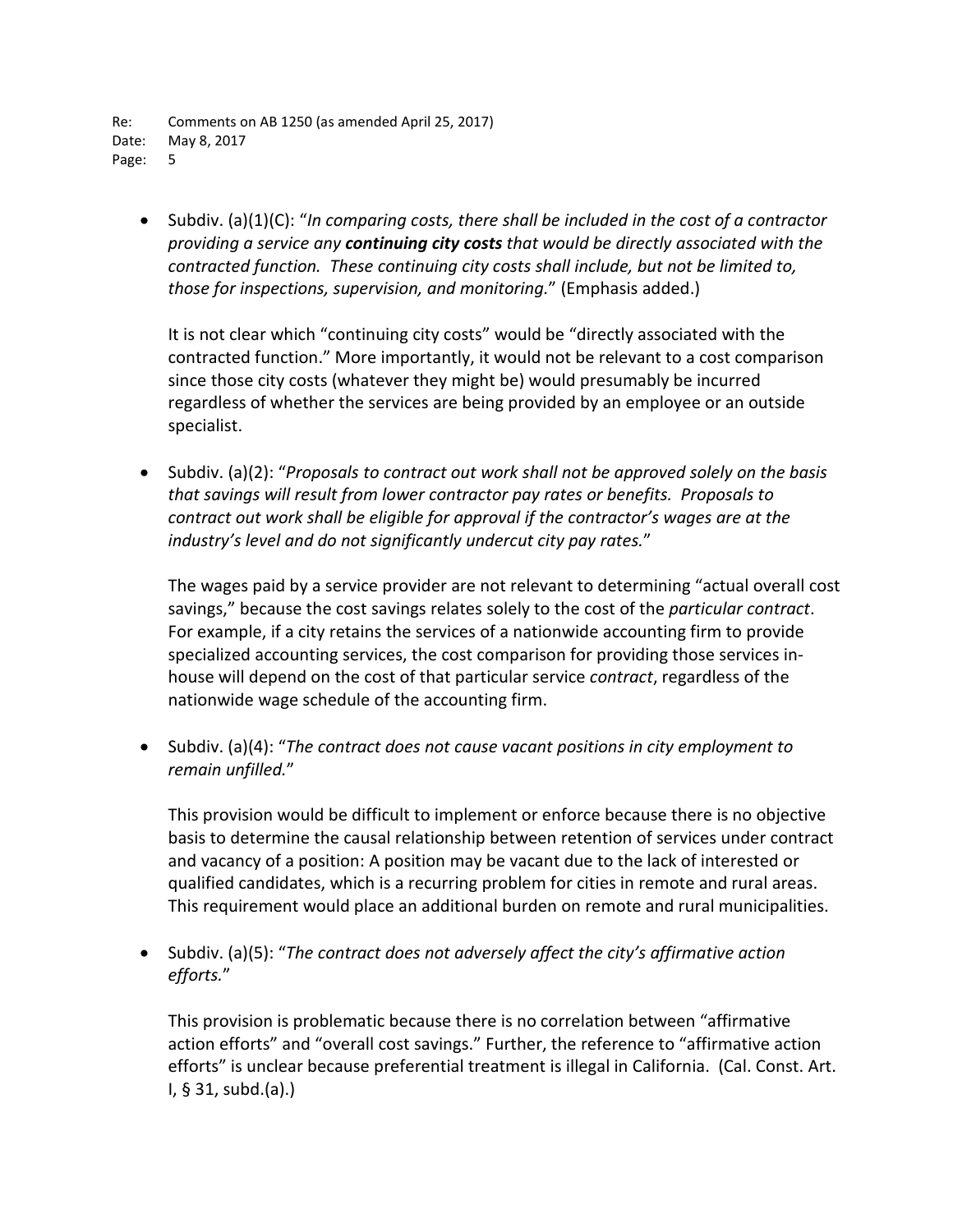• Subdiv. (a)(1)(C): "*In comparing costs, there shall be included in the cost of a contractor providing a service any continuing city costs that would be directly associated with the contracted function. These continuing city costs shall include, but not be limited to, those for inspections, supervision, and monitoring.*" (Emphasis added.)

It is not clear which "continuing city costs" would be "directly associated with the contracted function." More importantly, it would not be relevant to a cost comparison since those city costs (whatever they might be) would presumably be incurred regardless of whether the services are being provided by an employee or an outside specialist.

• Subdiv. (a)(2): "*Proposals to contract out work shall not be approved solely on the basis that savings will result from lower contractor pay rates or benefits. Proposals to contract out work shall be eligible for approval if the contractor's wages are at the industry's level and do not significantly undercut city pay rates.*"

The wages paid by a service provider are not relevant to determining "actual overall cost savings," because the cost savings relates solely to the cost of the *particular contract*. For example, if a city retains the services of a nationwide accounting firm to provide specialized accounting services, the cost comparison for providing those services inhouse will depend on the cost of that particular service *contract*, regardless of the nationwide wage schedule of the accounting firm.

• Subdiv. (a)(4): "*The contract does not cause vacant positions in city employment to remain unfilled.*"

This provision would be difficult to implement or enforce because there is no objective basis to determine the causal relationship between retention of services under contract and vacancy of a position: A position may be vacant due to the lack of interested or qualified candidates, which is a recurring problem for cities in remote and rural areas. This requirement would place an additional burden on remote and rural municipalities.

• Subdiv. (a)(5): "*The contract does not adversely affect the city's affirmative action efforts.*"

This provision is problematic because there is no correlation between "affirmative action efforts" and "overall cost savings." Further, the reference to "affirmative action efforts" is unclear because preferential treatment is illegal in California. (Cal. Const. Art. I, § 31, subd.(a).)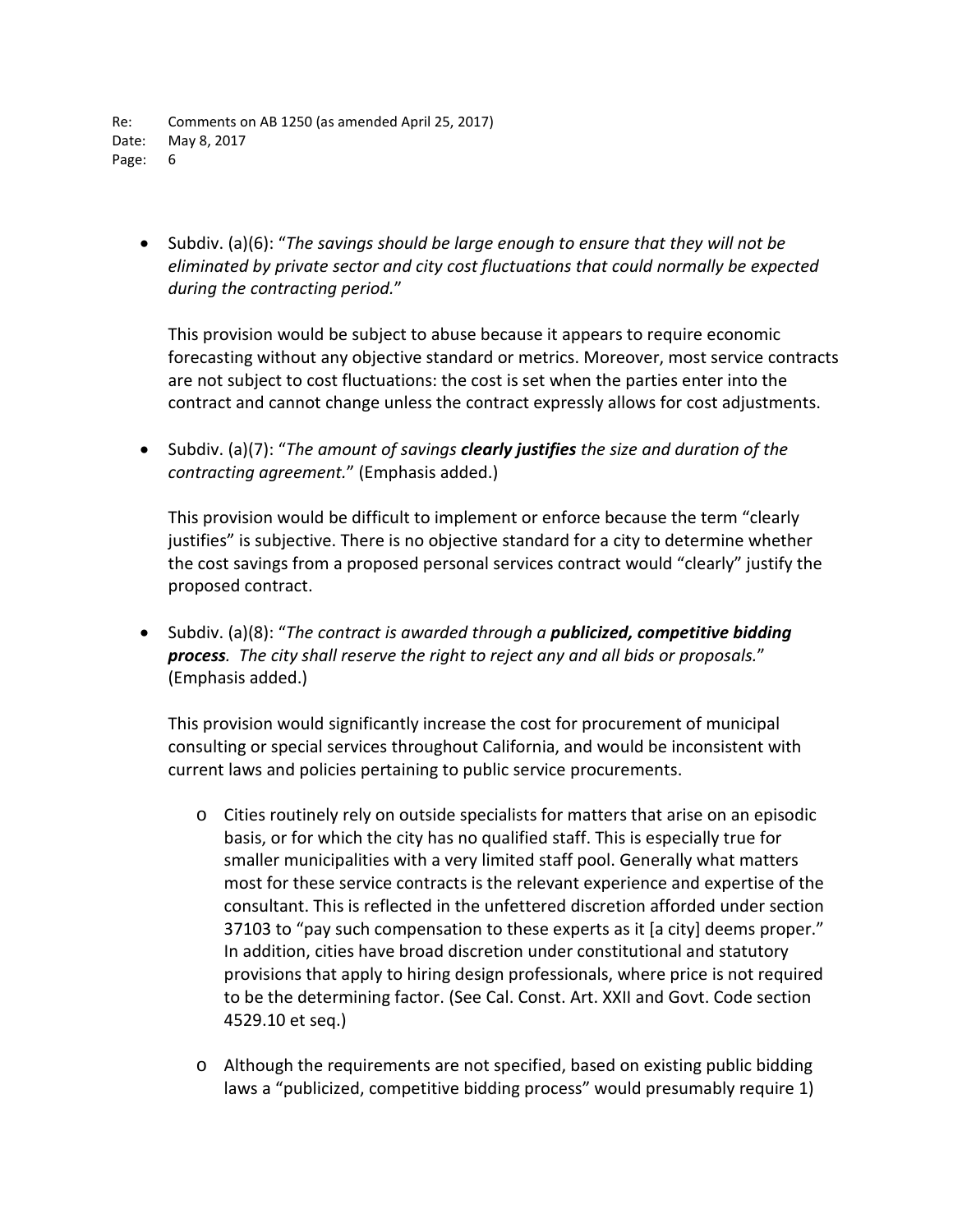• Subdiv. (a)(6): "*The savings should be large enough to ensure that they will not be eliminated by private sector and city cost fluctuations that could normally be expected during the contracting period.*"

This provision would be subject to abuse because it appears to require economic forecasting without any objective standard or metrics. Moreover, most service contracts are not subject to cost fluctuations: the cost is set when the parties enter into the contract and cannot change unless the contract expressly allows for cost adjustments.

• Subdiv. (a)(7): "*The amount of savings clearly justifies the size and duration of the contracting agreement.*" (Emphasis added.)

This provision would be difficult to implement or enforce because the term "clearly justifies" is subjective. There is no objective standard for a city to determine whether the cost savings from a proposed personal services contract would "clearly" justify the proposed contract.

• Subdiv. (a)(8): "*The contract is awarded through a publicized, competitive bidding process. The city shall reserve the right to reject any and all bids or proposals.*" (Emphasis added.)

This provision would significantly increase the cost for procurement of municipal consulting or special services throughout California, and would be inconsistent with current laws and policies pertaining to public service procurements.

- o Cities routinely rely on outside specialists for matters that arise on an episodic basis, or for which the city has no qualified staff. This is especially true for smaller municipalities with a very limited staff pool. Generally what matters most for these service contracts is the relevant experience and expertise of the consultant. This is reflected in the unfettered discretion afforded under section 37103 to "pay such compensation to these experts as it [a city] deems proper." In addition, cities have broad discretion under constitutional and statutory provisions that apply to hiring design professionals, where price is not required to be the determining factor. (See Cal. Const. Art. XXII and Govt. Code section 4529.10 et seq.)
- o Although the requirements are not specified, based on existing public bidding laws a "publicized, competitive bidding process" would presumably require 1)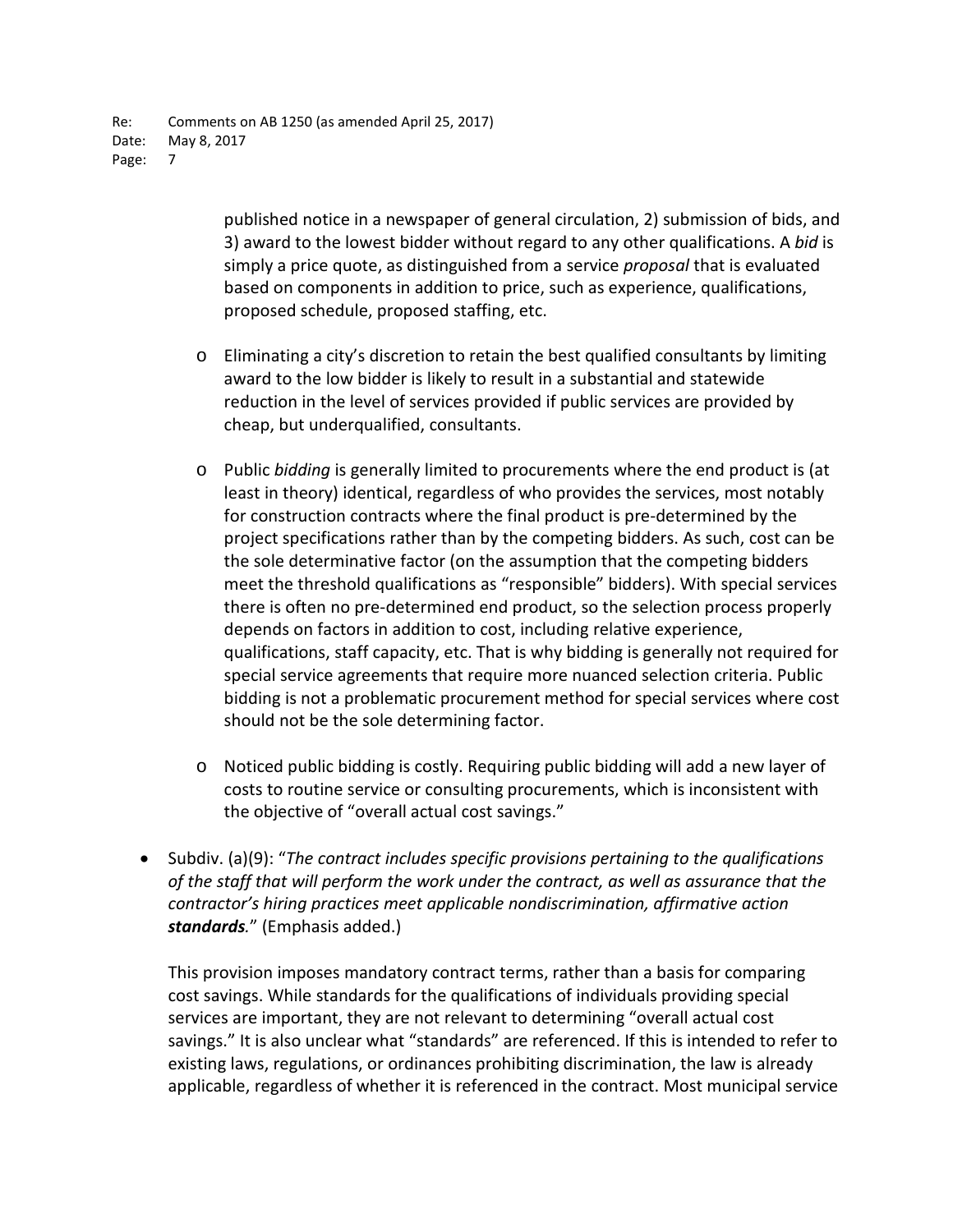published notice in a newspaper of general circulation, 2) submission of bids, and 3) award to the lowest bidder without regard to any other qualifications. A *bid* is simply a price quote, as distinguished from a service *proposal* that is evaluated based on components in addition to price, such as experience, qualifications, proposed schedule, proposed staffing, etc.

- $\circ$  Eliminating a city's discretion to retain the best qualified consultants by limiting award to the low bidder is likely to result in a substantial and statewide reduction in the level of services provided if public services are provided by cheap, but underqualified, consultants.
- o Public *bidding* is generally limited to procurements where the end product is (at least in theory) identical, regardless of who provides the services, most notably for construction contracts where the final product is pre-determined by the project specifications rather than by the competing bidders. As such, cost can be the sole determinative factor (on the assumption that the competing bidders meet the threshold qualifications as "responsible" bidders). With special services there is often no pre-determined end product, so the selection process properly depends on factors in addition to cost, including relative experience, qualifications, staff capacity, etc. That is why bidding is generally not required for special service agreements that require more nuanced selection criteria. Public bidding is not a problematic procurement method for special services where cost should not be the sole determining factor.
- o Noticed public bidding is costly. Requiring public bidding will add a new layer of costs to routine service or consulting procurements, which is inconsistent with the objective of "overall actual cost savings."
- Subdiv. (a)(9): "*The contract includes specific provisions pertaining to the qualifications of the staff that will perform the work under the contract, as well as assurance that the contractor's hiring practices meet applicable nondiscrimination, affirmative action standards.*" (Emphasis added.)

This provision imposes mandatory contract terms, rather than a basis for comparing cost savings. While standards for the qualifications of individuals providing special services are important, they are not relevant to determining "overall actual cost savings." It is also unclear what "standards" are referenced. If this is intended to refer to existing laws, regulations, or ordinances prohibiting discrimination, the law is already applicable, regardless of whether it is referenced in the contract. Most municipal service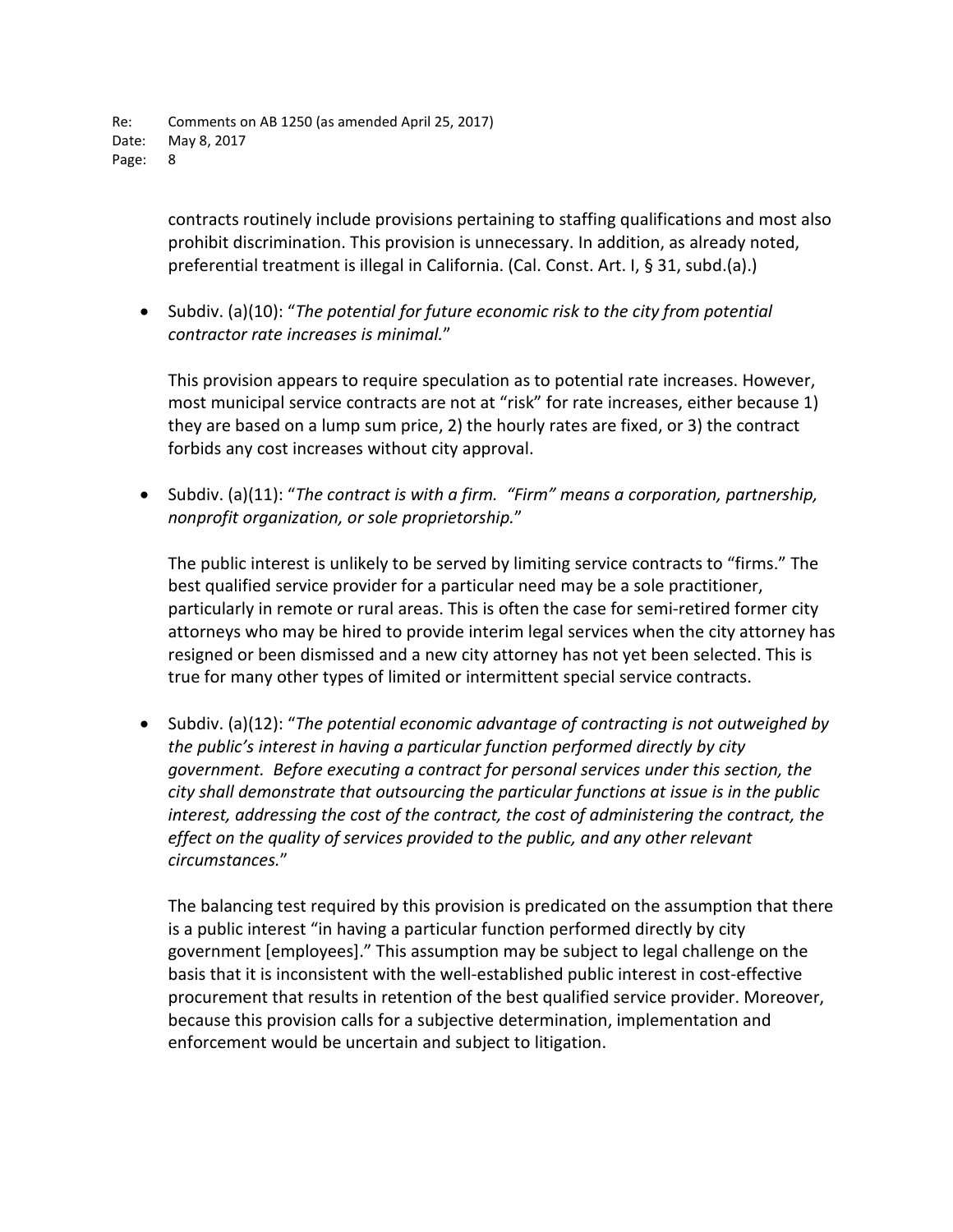contracts routinely include provisions pertaining to staffing qualifications and most also prohibit discrimination. This provision is unnecessary. In addition, as already noted, preferential treatment is illegal in California. (Cal. Const. Art. I, § 31, subd.(a).)

• Subdiv. (a)(10): "*The potential for future economic risk to the city from potential contractor rate increases is minimal.*"

This provision appears to require speculation as to potential rate increases. However, most municipal service contracts are not at "risk" for rate increases, either because 1) they are based on a lump sum price, 2) the hourly rates are fixed, or 3) the contract forbids any cost increases without city approval.

• Subdiv. (a)(11): "*The contract is with a firm. "Firm" means a corporation, partnership, nonprofit organization, or sole proprietorship.*"

The public interest is unlikely to be served by limiting service contracts to "firms." The best qualified service provider for a particular need may be a sole practitioner, particularly in remote or rural areas. This is often the case for semi-retired former city attorneys who may be hired to provide interim legal services when the city attorney has resigned or been dismissed and a new city attorney has not yet been selected. This is true for many other types of limited or intermittent special service contracts.

• Subdiv. (a)(12): "*The potential economic advantage of contracting is not outweighed by the public's interest in having a particular function performed directly by city government. Before executing a contract for personal services under this section, the city shall demonstrate that outsourcing the particular functions at issue is in the public interest, addressing the cost of the contract, the cost of administering the contract, the effect on the quality of services provided to the public, and any other relevant circumstances.*"

The balancing test required by this provision is predicated on the assumption that there is a public interest "in having a particular function performed directly by city government [employees]." This assumption may be subject to legal challenge on the basis that it is inconsistent with the well-established public interest in cost-effective procurement that results in retention of the best qualified service provider. Moreover, because this provision calls for a subjective determination, implementation and enforcement would be uncertain and subject to litigation.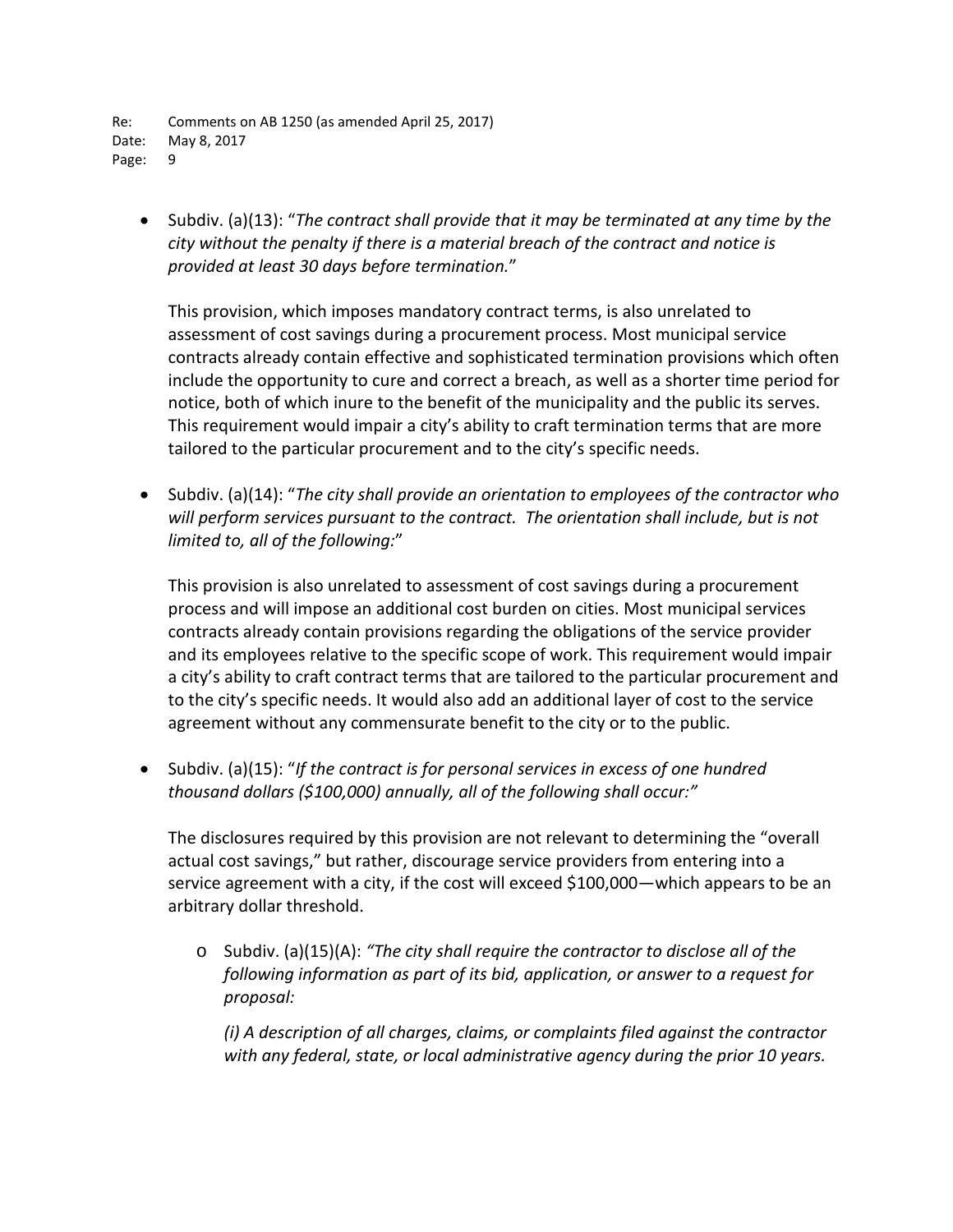• Subdiv. (a)(13): "*The contract shall provide that it may be terminated at any time by the city without the penalty if there is a material breach of the contract and notice is provided at least 30 days before termination.*"

This provision, which imposes mandatory contract terms, is also unrelated to assessment of cost savings during a procurement process. Most municipal service contracts already contain effective and sophisticated termination provisions which often include the opportunity to cure and correct a breach, as well as a shorter time period for notice, both of which inure to the benefit of the municipality and the public its serves. This requirement would impair a city's ability to craft termination terms that are more tailored to the particular procurement and to the city's specific needs.

• Subdiv. (a)(14): "*The city shall provide an orientation to employees of the contractor who*  will perform services pursuant to the contract. The orientation shall include, but is not *limited to, all of the following:*"

This provision is also unrelated to assessment of cost savings during a procurement process and will impose an additional cost burden on cities. Most municipal services contracts already contain provisions regarding the obligations of the service provider and its employees relative to the specific scope of work. This requirement would impair a city's ability to craft contract terms that are tailored to the particular procurement and to the city's specific needs. It would also add an additional layer of cost to the service agreement without any commensurate benefit to the city or to the public.

• Subdiv. (a)(15): "*If the contract is for personal services in excess of one hundred thousand dollars (\$100,000) annually, all of the following shall occur:"*

The disclosures required by this provision are not relevant to determining the "overall actual cost savings," but rather, discourage service providers from entering into a service agreement with a city, if the cost will exceed \$100,000—which appears to be an arbitrary dollar threshold.

o Subdiv. (a)(15)(A): *"The city shall require the contractor to disclose all of the following information as part of its bid, application, or answer to a request for proposal:*

*(i) A description of all charges, claims, or complaints filed against the contractor with any federal, state, or local administrative agency during the prior 10 years.*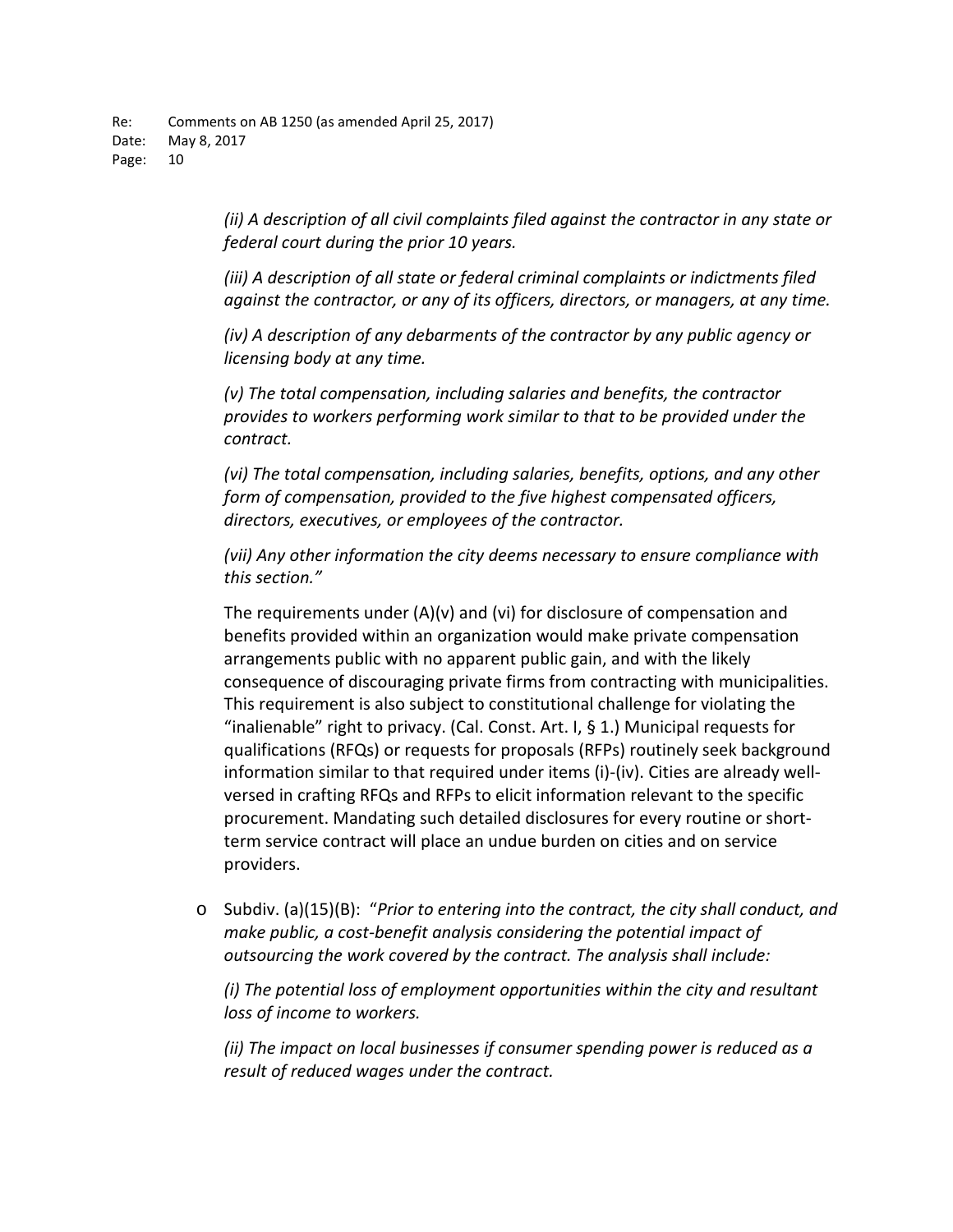*(ii) A description of all civil complaints filed against the contractor in any state or federal court during the prior 10 years.*

*(iii) A description of all state or federal criminal complaints or indictments filed against the contractor, or any of its officers, directors, or managers, at any time.*

*(iv) A description of any debarments of the contractor by any public agency or licensing body at any time.*

*(v) The total compensation, including salaries and benefits, the contractor provides to workers performing work similar to that to be provided under the contract.*

*(vi) The total compensation, including salaries, benefits, options, and any other form of compensation, provided to the five highest compensated officers, directors, executives, or employees of the contractor.*

*(vii) Any other information the city deems necessary to ensure compliance with this section."*

The requirements under (A)(v) and (vi) for disclosure of compensation and benefits provided within an organization would make private compensation arrangements public with no apparent public gain, and with the likely consequence of discouraging private firms from contracting with municipalities. This requirement is also subject to constitutional challenge for violating the "inalienable" right to privacy. (Cal. Const. Art. I, § 1.) Municipal requests for qualifications (RFQs) or requests for proposals (RFPs) routinely seek background information similar to that required under items (i)-(iv). Cities are already wellversed in crafting RFQs and RFPs to elicit information relevant to the specific procurement. Mandating such detailed disclosures for every routine or shortterm service contract will place an undue burden on cities and on service providers.

o Subdiv. (a)(15)(B): "*Prior to entering into the contract, the city shall conduct, and make public, a cost-benefit analysis considering the potential impact of outsourcing the work covered by the contract. The analysis shall include:*

*(i) The potential loss of employment opportunities within the city and resultant loss of income to workers.*

*(ii) The impact on local businesses if consumer spending power is reduced as a result of reduced wages under the contract.*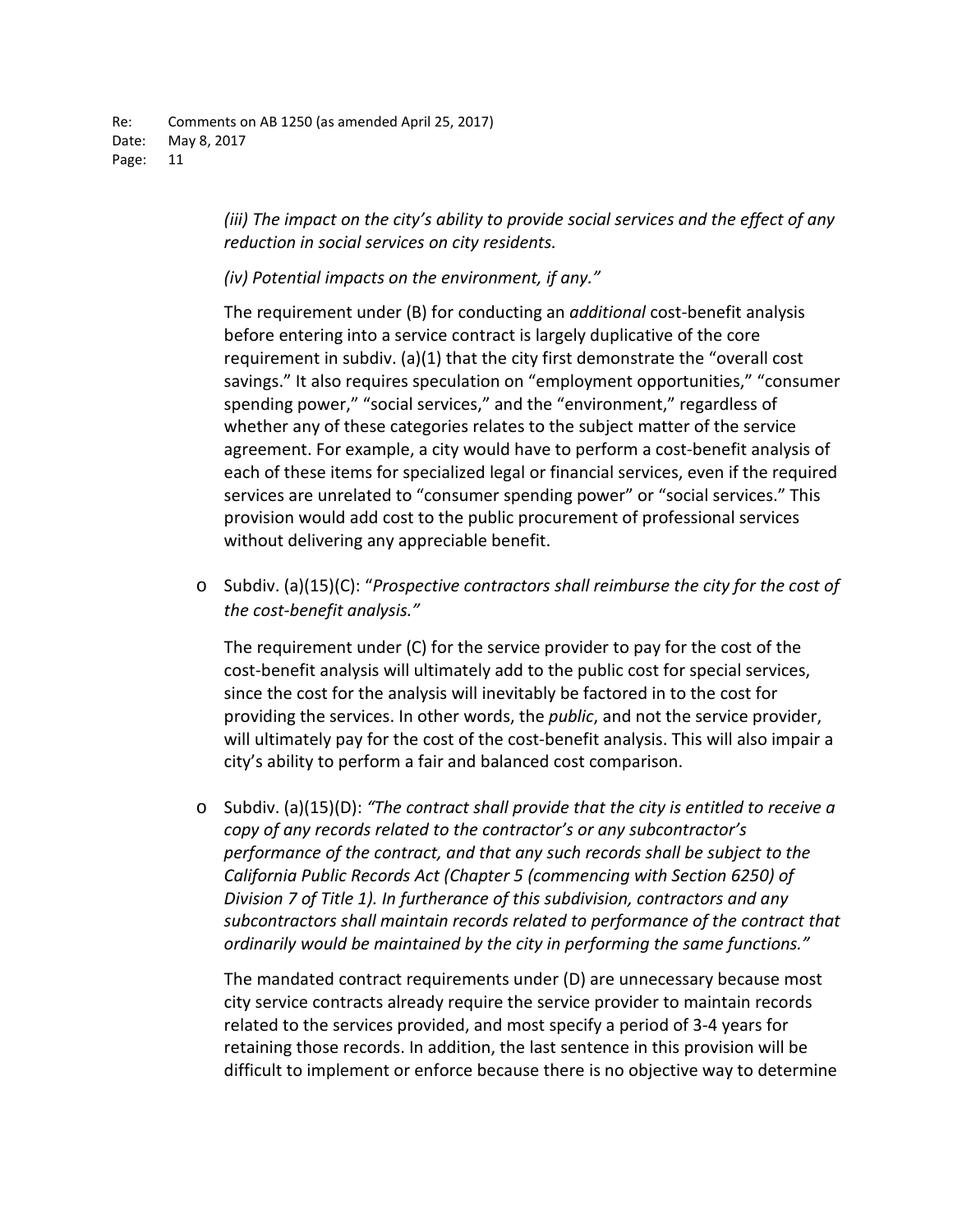*(iii) The impact on the city's ability to provide social services and the effect of any reduction in social services on city residents.*

*(iv) Potential impacts on the environment, if any."*

The requirement under (B) for conducting an *additional* cost-benefit analysis before entering into a service contract is largely duplicative of the core requirement in subdiv. (a)(1) that the city first demonstrate the "overall cost savings." It also requires speculation on "employment opportunities," "consumer spending power," "social services," and the "environment," regardless of whether any of these categories relates to the subject matter of the service agreement. For example, a city would have to perform a cost-benefit analysis of each of these items for specialized legal or financial services, even if the required services are unrelated to "consumer spending power" or "social services." This provision would add cost to the public procurement of professional services without delivering any appreciable benefit.

o Subdiv. (a)(15)(C): "*Prospective contractors shall reimburse the city for the cost of the cost-benefit analysis."*

The requirement under (C) for the service provider to pay for the cost of the cost-benefit analysis will ultimately add to the public cost for special services, since the cost for the analysis will inevitably be factored in to the cost for providing the services. In other words, the *public*, and not the service provider, will ultimately pay for the cost of the cost-benefit analysis. This will also impair a city's ability to perform a fair and balanced cost comparison.

o Subdiv. (a)(15)(D): *"The contract shall provide that the city is entitled to receive a copy of any records related to the contractor's or any subcontractor's performance of the contract, and that any such records shall be subject to the California Public Records Act (Chapter 5 (commencing with Section 6250) of Division 7 of Title 1). In furtherance of this subdivision, contractors and any subcontractors shall maintain records related to performance of the contract that ordinarily would be maintained by the city in performing the same functions."*

The mandated contract requirements under (D) are unnecessary because most city service contracts already require the service provider to maintain records related to the services provided, and most specify a period of 3-4 years for retaining those records. In addition, the last sentence in this provision will be difficult to implement or enforce because there is no objective way to determine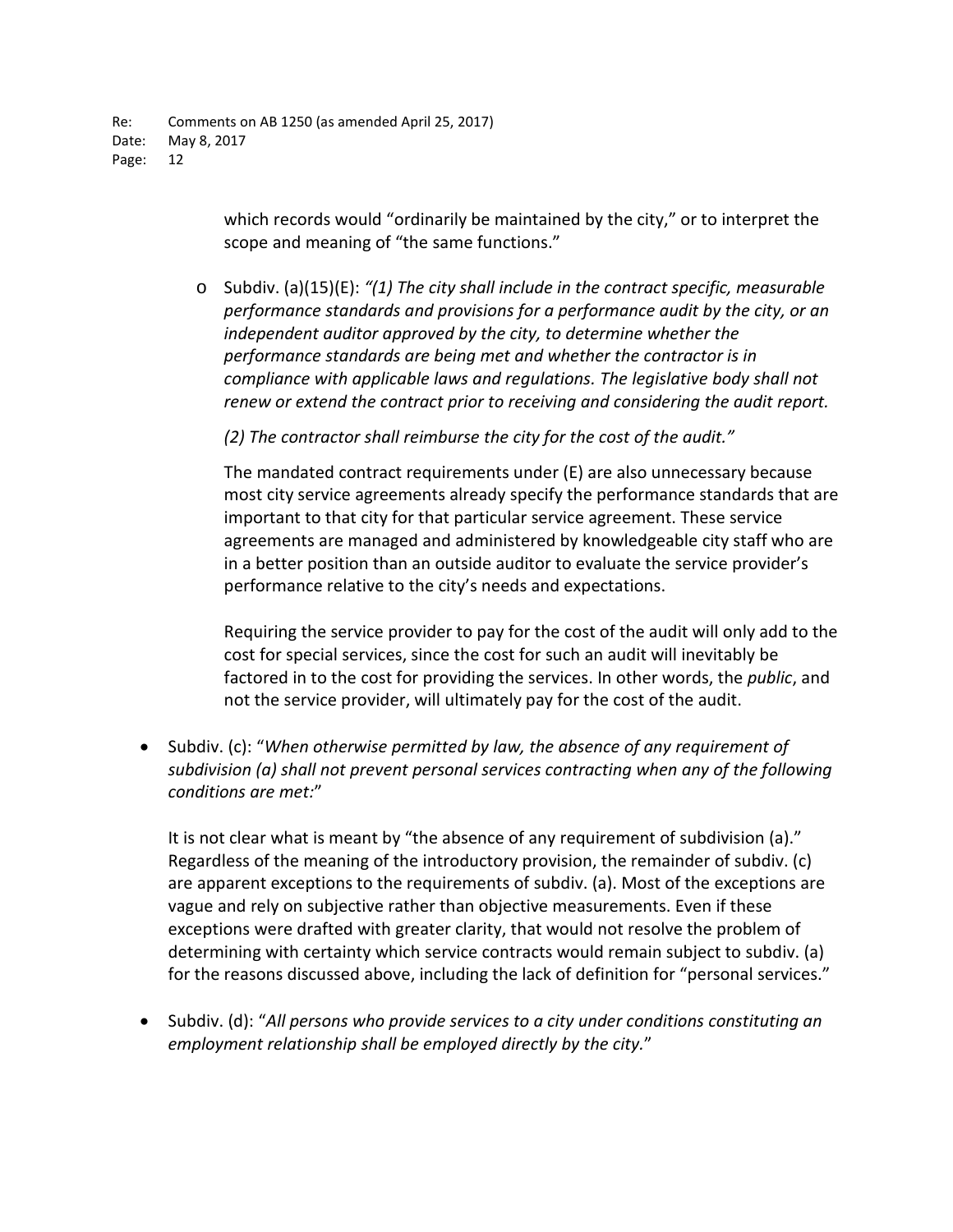which records would "ordinarily be maintained by the city," or to interpret the scope and meaning of "the same functions."

o Subdiv. (a)(15)(E): *"(1) The city shall include in the contract specific, measurable performance standards and provisions for a performance audit by the city, or an independent auditor approved by the city, to determine whether the performance standards are being met and whether the contractor is in compliance with applicable laws and regulations. The legislative body shall not renew or extend the contract prior to receiving and considering the audit report.*

*(2) The contractor shall reimburse the city for the cost of the audit."*

The mandated contract requirements under (E) are also unnecessary because most city service agreements already specify the performance standards that are important to that city for that particular service agreement. These service agreements are managed and administered by knowledgeable city staff who are in a better position than an outside auditor to evaluate the service provider's performance relative to the city's needs and expectations.

Requiring the service provider to pay for the cost of the audit will only add to the cost for special services, since the cost for such an audit will inevitably be factored in to the cost for providing the services. In other words, the *public*, and not the service provider, will ultimately pay for the cost of the audit.

• Subdiv. (c): "*When otherwise permitted by law, the absence of any requirement of subdivision (a) shall not prevent personal services contracting when any of the following conditions are met:*"

It is not clear what is meant by "the absence of any requirement of subdivision (a)." Regardless of the meaning of the introductory provision, the remainder of subdiv. (c) are apparent exceptions to the requirements of subdiv. (a). Most of the exceptions are vague and rely on subjective rather than objective measurements. Even if these exceptions were drafted with greater clarity, that would not resolve the problem of determining with certainty which service contracts would remain subject to subdiv. (a) for the reasons discussed above, including the lack of definition for "personal services."

• Subdiv. (d): "*All persons who provide services to a city under conditions constituting an employment relationship shall be employed directly by the city.*"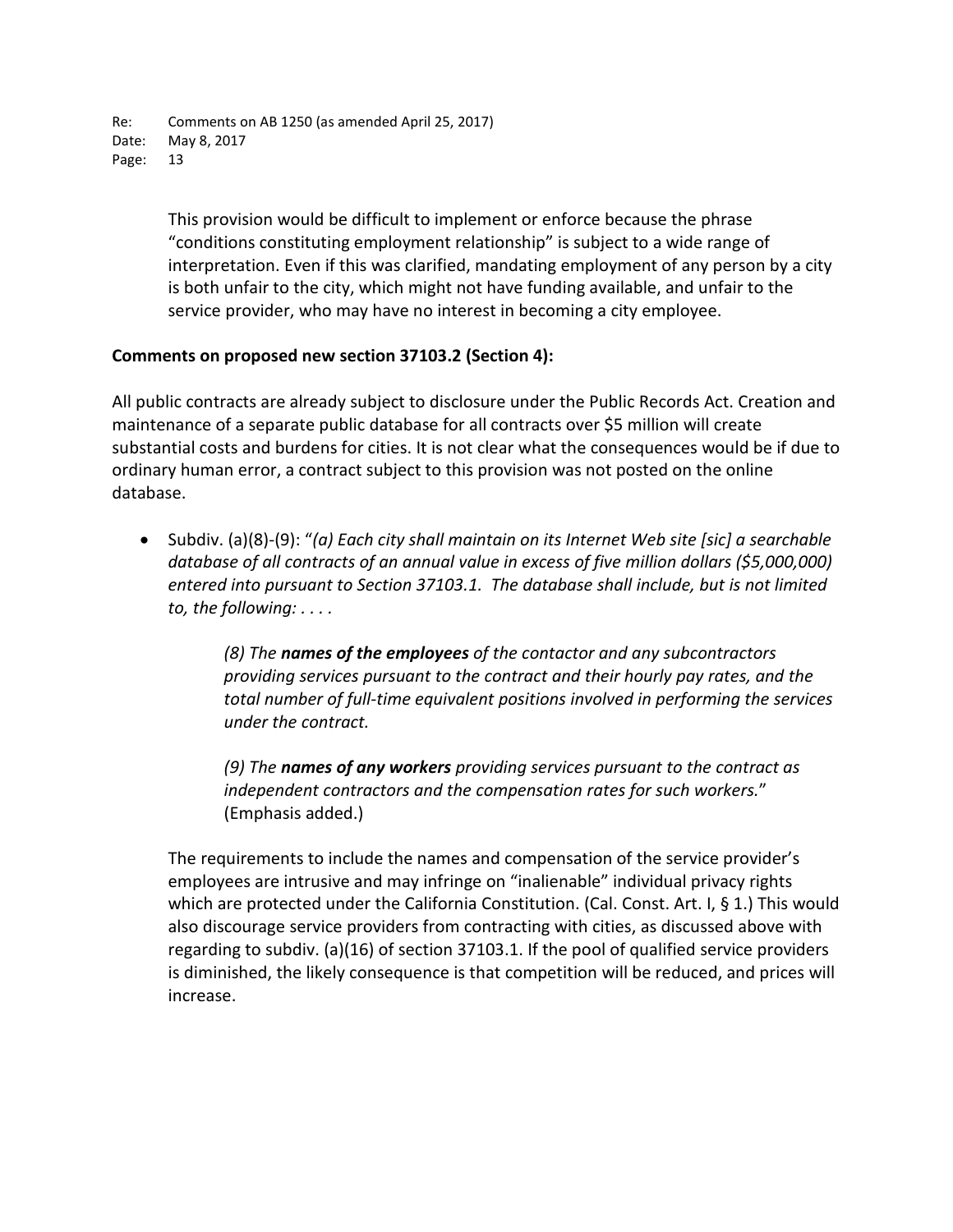> This provision would be difficult to implement or enforce because the phrase "conditions constituting employment relationship" is subject to a wide range of interpretation. Even if this was clarified, mandating employment of any person by a city is both unfair to the city, which might not have funding available, and unfair to the service provider, who may have no interest in becoming a city employee.

### **Comments on proposed new section 37103.2 (Section 4):**

All public contracts are already subject to disclosure under the Public Records Act. Creation and maintenance of a separate public database for all contracts over \$5 million will create substantial costs and burdens for cities. It is not clear what the consequences would be if due to ordinary human error, a contract subject to this provision was not posted on the online database.

• Subdiv. (a)(8)-(9): "*(a) Each city shall maintain on its Internet Web site [sic] a searchable database of all contracts of an annual value in excess of five million dollars (\$5,000,000) entered into pursuant to Section 37103.1. The database shall include, but is not limited to, the following: . . . .*

> *(8) The names of the employees of the contactor and any subcontractors providing services pursuant to the contract and their hourly pay rates, and the total number of full-time equivalent positions involved in performing the services under the contract.*

*(9) The names of any workers providing services pursuant to the contract as independent contractors and the compensation rates for such workers.*" (Emphasis added.)

The requirements to include the names and compensation of the service provider's employees are intrusive and may infringe on "inalienable" individual privacy rights which are protected under the California Constitution. (Cal. Const. Art. I, § 1.) This would also discourage service providers from contracting with cities, as discussed above with regarding to subdiv. (a)(16) of section 37103.1. If the pool of qualified service providers is diminished, the likely consequence is that competition will be reduced, and prices will increase.